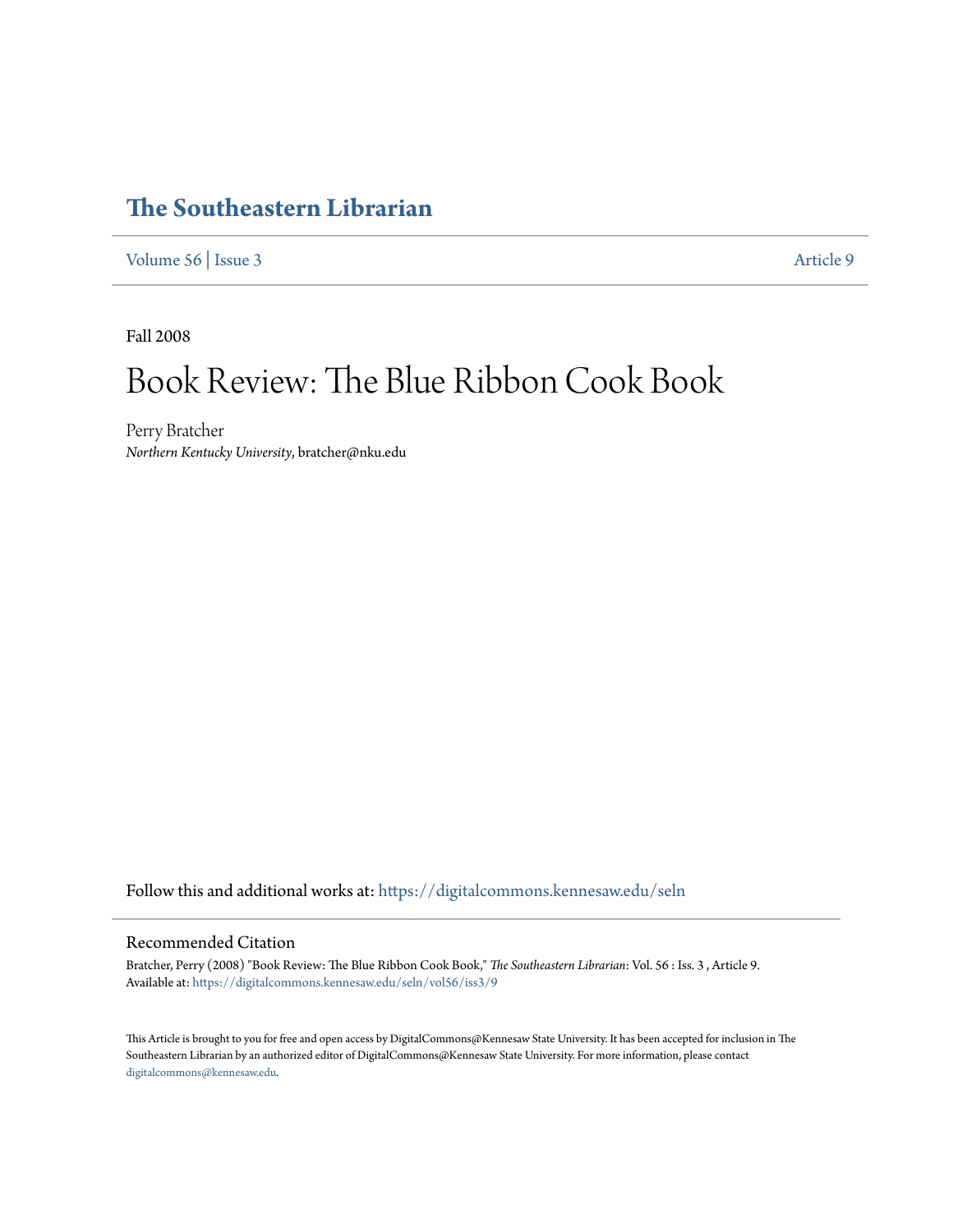## **[The Southeastern Librarian](https://digitalcommons.kennesaw.edu/seln?utm_source=digitalcommons.kennesaw.edu%2Fseln%2Fvol56%2Fiss3%2F9&utm_medium=PDF&utm_campaign=PDFCoverPages)**

[Volume 56](https://digitalcommons.kennesaw.edu/seln/vol56?utm_source=digitalcommons.kennesaw.edu%2Fseln%2Fvol56%2Fiss3%2F9&utm_medium=PDF&utm_campaign=PDFCoverPages) | [Issue 3](https://digitalcommons.kennesaw.edu/seln/vol56/iss3?utm_source=digitalcommons.kennesaw.edu%2Fseln%2Fvol56%2Fiss3%2F9&utm_medium=PDF&utm_campaign=PDFCoverPages) [Article 9](https://digitalcommons.kennesaw.edu/seln/vol56/iss3/9?utm_source=digitalcommons.kennesaw.edu%2Fseln%2Fvol56%2Fiss3%2F9&utm_medium=PDF&utm_campaign=PDFCoverPages)

Fall 2008

## Book Review: The Blue Ribbon Cook Book

Perry Bratcher *Northern Kentucky University*, bratcher@nku.edu

Follow this and additional works at: [https://digitalcommons.kennesaw.edu/seln](https://digitalcommons.kennesaw.edu/seln?utm_source=digitalcommons.kennesaw.edu%2Fseln%2Fvol56%2Fiss3%2F9&utm_medium=PDF&utm_campaign=PDFCoverPages)

## Recommended Citation

Bratcher, Perry (2008) "Book Review: The Blue Ribbon Cook Book," *The Southeastern Librarian*: Vol. 56 : Iss. 3 , Article 9. Available at: [https://digitalcommons.kennesaw.edu/seln/vol56/iss3/9](https://digitalcommons.kennesaw.edu/seln/vol56/iss3/9?utm_source=digitalcommons.kennesaw.edu%2Fseln%2Fvol56%2Fiss3%2F9&utm_medium=PDF&utm_campaign=PDFCoverPages)

This Article is brought to you for free and open access by DigitalCommons@Kennesaw State University. It has been accepted for inclusion in The Southeastern Librarian by an authorized editor of DigitalCommons@Kennesaw State University. For more information, please contact [digitalcommons@kennesaw.edu.](mailto:digitalcommons@kennesaw.edu)